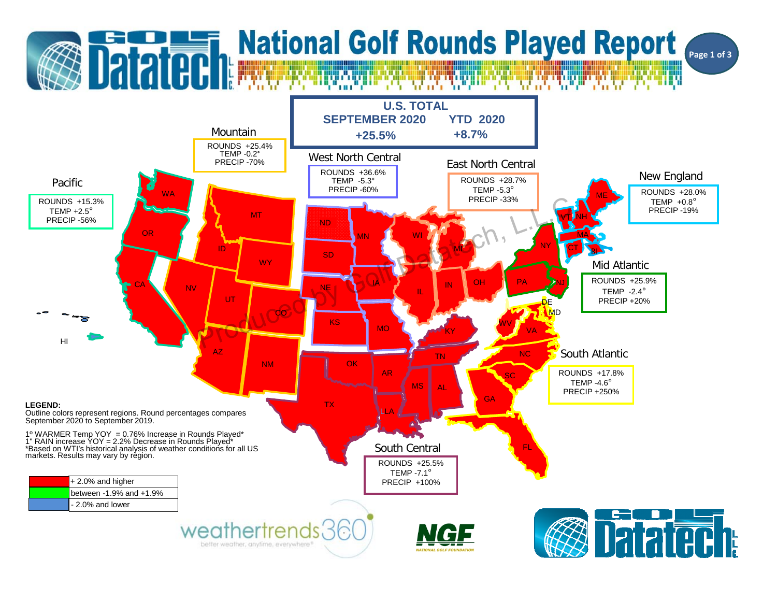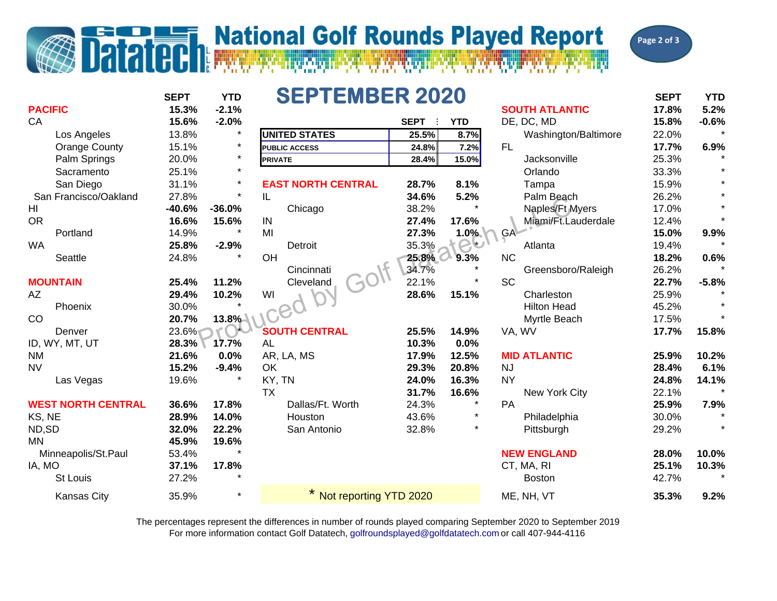## **Datated National Golf Rounds Played Report**



|                           | <b>SEPTEMBER 2020</b><br><b>SEPT</b><br><b>YTD</b> |          |                           |             |            |                       |       | <b>YTD</b> |
|---------------------------|----------------------------------------------------|----------|---------------------------|-------------|------------|-----------------------|-------|------------|
| <b>PACIFIC</b>            | 15.3%                                              | $-2.1%$  |                           |             |            | <b>SOUTH ATLANTIC</b> | 17.8% | 5.2%       |
| CA                        | 15.6%                                              | $-2.0%$  |                           | <b>SEPT</b> | <b>YTD</b> | DE, DC, MD            | 15.8% | $-0.6%$    |
| Los Angeles               | 13.8%                                              | $\star$  | <b>UNITED STATES</b>      | 25.5%       | 8.7%       | Washington/Baltimore  | 22.0% | $\star$    |
| <b>Orange County</b>      | 15.1%                                              | $\star$  | <b>PUBLIC ACCESS</b>      | 24.8%       | 7.2%       | <b>FL</b>             | 17.7% | 6.9%       |
| Palm Springs              | 20.0%                                              | $\star$  | <b>PRIVATE</b>            | 28.4%       | 15.0%      | Jacksonville          | 25.3% |            |
| Sacramento                | 25.1%                                              | $\star$  |                           |             |            | Orlando               | 33.3% |            |
| San Diego                 | 31.1%                                              | $\ast$   | <b>EAST NORTH CENTRAL</b> | 28.7%       | 8.1%       | Tampa                 | 15.9% |            |
| San Francisco/Oakland     | 27.8%                                              | $\star$  | IL                        | 34.6%       | 5.2%       | Palm Beach            | 26.2% |            |
| HI                        | $-40.6%$                                           | $-36.0%$ | Chicago                   | 38.2%       |            | Naples/Ft Myers       | 17.0% |            |
| <b>OR</b>                 | 16.6%                                              | 15.6%    | IN                        | 27.4%       | 17.6%      | Miami/Ft.Lauderdale   | 12.4% |            |
| Portland                  | 14.9%                                              | $\star$  | MI                        | 27.3%       | 1.0%       | GA-                   | 15.0% | 9.9%       |
| <b>WA</b>                 | 25.8%                                              | $-2.9%$  | <b>Detroit</b>            | 35.3%       | <b>PD</b>  | Atlanta               | 19.4% |            |
| Seattle                   | 24.8%                                              |          | OH                        | 25.8%       | 9.3%       | <b>NC</b>             | 18.2% | 0.6%       |
|                           |                                                    |          | Cincinnati                | 34.7%       |            | Greensboro/Raleigh    | 26.2% |            |
| <b>MOUNTAIN</b>           | 25.4%                                              | 11.2%    | Cleveland                 | 22.1%       | $\star$    | <b>SC</b>             | 22.7% | $-5.8%$    |
| AZ                        | 29.4%                                              | 10.2%    | WI                        | 28.6%       | 15.1%      | Charleston            | 25.9% |            |
| Phoenix                   | 30.0%                                              |          |                           |             |            | <b>Hilton Head</b>    | 45.2% |            |
| <b>CO</b>                 | 20.7%                                              | 13.8%    |                           |             |            | Myrtle Beach          | 17.5% |            |
| Denver                    | 23.6%                                              |          | <b>SOUTH CENTRAL</b>      | 25.5%       | 14.9%      | VA, WV                | 17.7% | 15.8%      |
| ID, WY, MT, UT            | 28.3%                                              | 17.7%    | <b>AL</b>                 | 10.3%       | 0.0%       |                       |       |            |
| <b>NM</b>                 | 21.6%                                              | 0.0%     | AR, LA, MS                | 17.9%       | 12.5%      | <b>MID ATLANTIC</b>   | 25.9% | 10.2%      |
| <b>NV</b>                 | 15.2%                                              | $-9.4%$  | OK                        | 29.3%       | 20.8%      | <b>NJ</b>             | 28.4% | 6.1%       |
| Las Vegas                 | 19.6%                                              |          | KY, TN                    | 24.0%       | 16.3%      | <b>NY</b>             | 24.8% | 14.1%      |
|                           |                                                    |          | <b>TX</b>                 | 31.7%       | 16.6%      | New York City         | 22.1% |            |
| <b>WEST NORTH CENTRAL</b> | 36.6%                                              | 17.8%    | Dallas/Ft. Worth          | 24.3%       |            | <b>PA</b>             | 25.9% | 7.9%       |
| KS, NE                    | 28.9%                                              | 14.0%    | Houston                   | 43.6%       | $\star$    | Philadelphia          | 30.0% |            |
| ND, SD                    | 32.0%                                              | 22.2%    | San Antonio               | 32.8%       |            | Pittsburgh            | 29.2% |            |
| <b>MN</b>                 | 45.9%                                              | 19.6%    |                           |             |            |                       |       |            |
| Minneapolis/St.Paul       | 53.4%                                              | $\star$  |                           |             |            | <b>NEW ENGLAND</b>    | 28.0% | 10.0%      |
| IA, MO                    | 37.1%                                              | 17.8%    |                           |             |            | CT, MA, RI            | 25.1% | 10.3%      |
| <b>St Louis</b>           | 27.2%                                              | $\star$  |                           |             |            | <b>Boston</b>         | 42.7% |            |
| <b>Kansas City</b>        | 35.9%                                              | $\star$  | Not reporting YTD 2020    |             |            | ME, NH, VT            | 35.3% | 9.2%       |

For more information contact Golf Datatech, golfroundsplayed@golfdatatech.com or call 407-944-4116 The percentages represent the differences in number of rounds played comparing September 2020 to September 2019